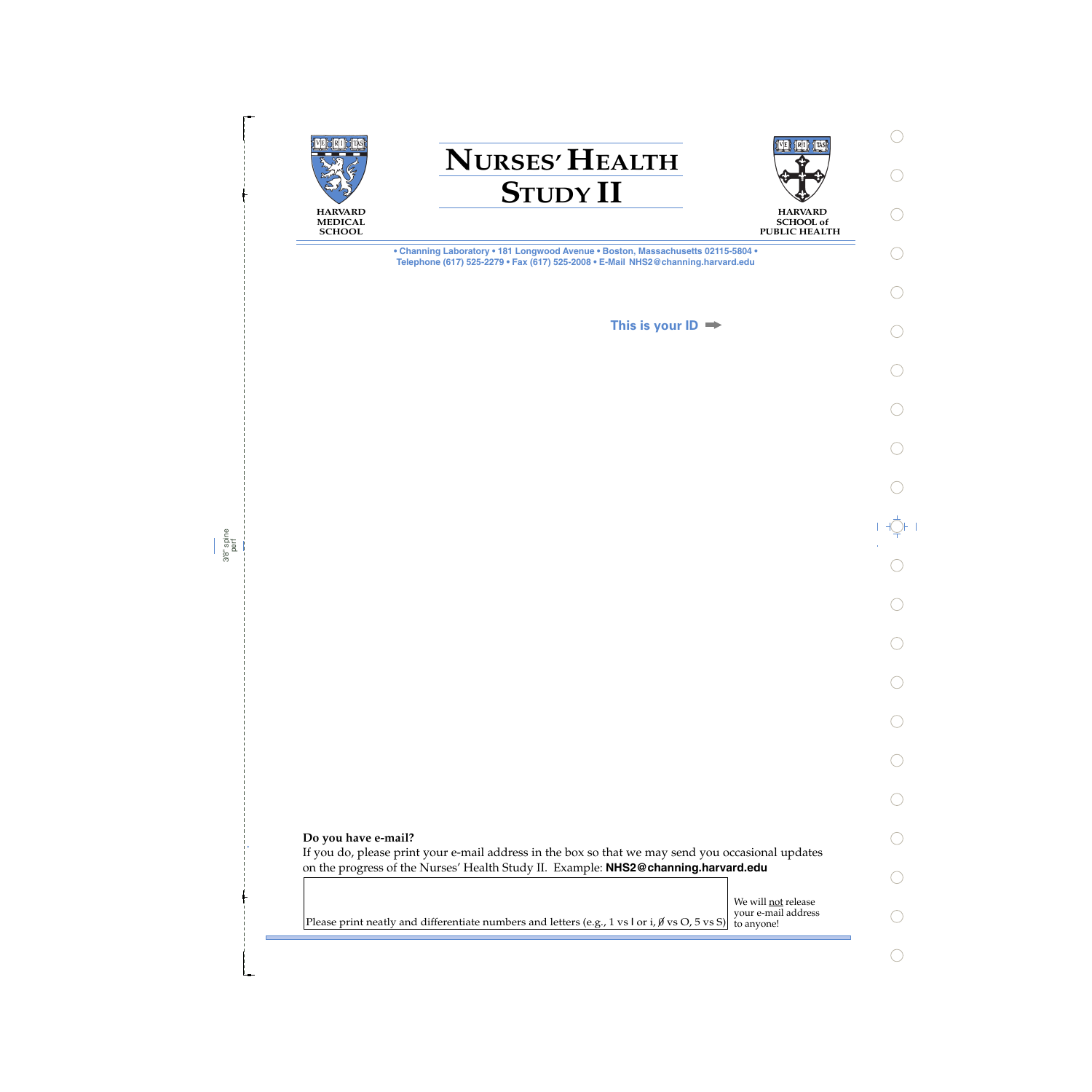

**NURSES' HEALTH STUDY II**



**HARVARD SCHOOL of PUBLIC HEALTH** 

**• Channing Laboratory • 181 Longwood Avenue • Boston, Massachusetts 02115-5804 • Telephone (617) 525-2279 • Fax (617) 525-2008 • E-Mail NHS2@channing.harvard.edu**

**This is your ID**

If you do, please print your e-mail address in the box so that we may send you occasional updates on the progress of the Nurses' Health Study II. Example: **NHS2@channing.harvard.edu**

Please print neatly and differentiate numbers and letters (e.g., 1 vs l or i,  $\emptyset$  vs O, 5 vs S) to anyone!

We will not release<br>your e-mail address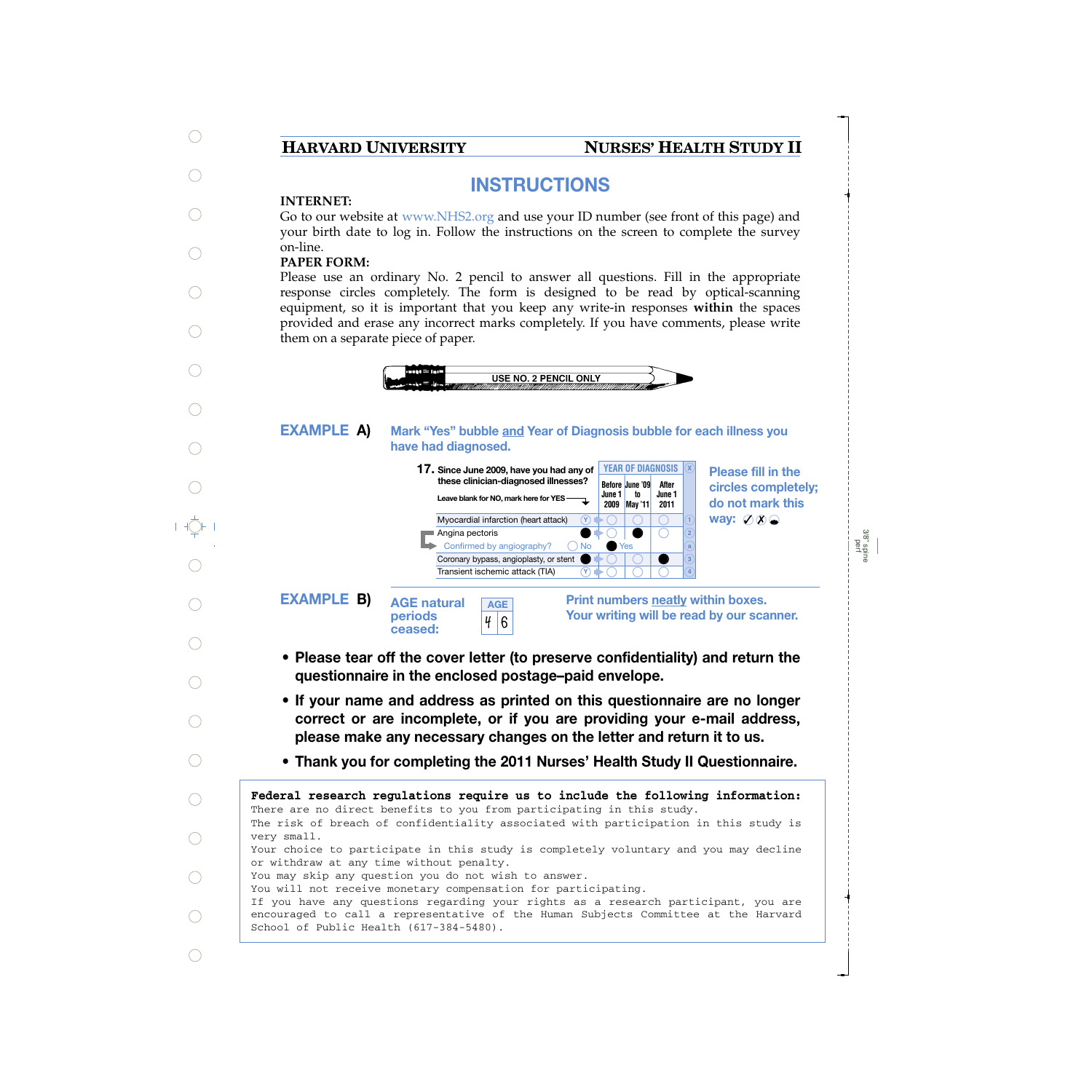## **HARVARD UNIVERSITY NURSES' HEALTH STUDY II**

# **INSTRUCTIONS**

## **INTERNET:**

Go to our website at www.NHS2.org and use your ID number (see front of this page) and your birth date to log in. Follow the instructions on the screen to complete the survey on-line.

### **PAPER FORM:**

Please use an ordinary No. 2 pencil to answer all questions. Fill in the appropriate response circles completely. The form is designed to be read by optical-scanning equipment, so it is important that you keep any write-in responses **within** the spaces provided and erase any incorrect marks completely. If you have comments, please write them on a separate piece of paper.



#### **Mark "Yes" bubble and Year of Diagnosis bubble for each illness you have had diagnosed. EXAMPLE A)**



- **Please tear off the cover letter (to preserve confidentiality) and return the questionnaire in the enclosed postage–paid envelope.**
- **If your name and address as printed on this questionnaire are no longer correct or are incomplete, or if you are providing your e-mail address, please make any necessary changes on the letter and return it to us.**
- **Thank you for completing the 2011 Nurses' Health Study II Questionnaire.**

| Federal research regulations require us to include the following information:        |
|--------------------------------------------------------------------------------------|
| There are no direct benefits to you from participating in this study.                |
| The risk of breach of confidentiality associated with participation in this study is |
| very small.                                                                          |
| Your choice to participate in this study is completely voluntary and you may decline |
| or withdraw at any time without penalty.                                             |
| You may skip any question you do not wish to answer.                                 |
| You will not receive monetary compensation for participating.                        |
| If you have any questions regarding your rights as a research participant, you are   |
| encouraged to call a representative of the Human Subjects Committee at the Harvard   |
| School of Public Health (617-384-5480).                                              |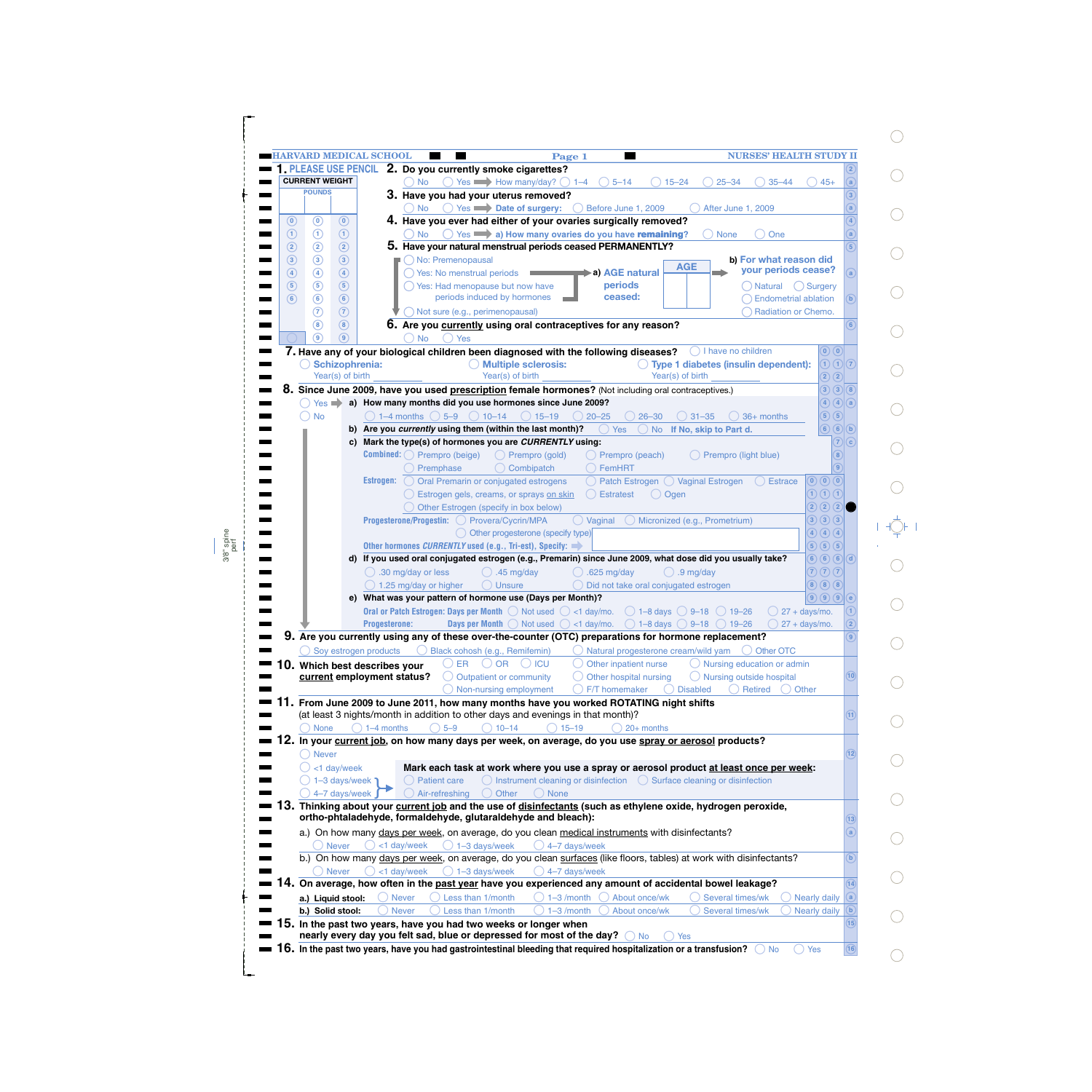|                                                    | <b>HARVARD MEDICAL SCHOOL</b><br><b>NURSES' HEALTH STUDY II</b><br>Page 1                                                                                                |                                             |
|----------------------------------------------------|--------------------------------------------------------------------------------------------------------------------------------------------------------------------------|---------------------------------------------|
|                                                    | PLEASE USE PENCIL 2. Do you currently smoke cigarettes?                                                                                                                  |                                             |
| <b>CURRENT WEIGHT</b>                              | Yes $\longrightarrow$ How many/day? $\bigcirc$ 1-4<br>$\bigcirc$ 5-14<br>$()$ No<br>$15 - 24$<br>$25 - 34$<br>$35 - 44$<br>$45+$                                         |                                             |
| <b>POUNDS</b>                                      | 3. Have you had your uterus removed?                                                                                                                                     |                                             |
|                                                    | ◯ No ◯ Yes Date of surgery: ◯ Before June 1, 2009<br>After June 1, 2009                                                                                                  |                                             |
| $\circledcirc$<br>$\circledcirc$<br>$\circledcirc$ | 4. Have you ever had either of your ovaries surgically removed?                                                                                                          |                                             |
| $\bigcirc$<br>$\odot$<br>$\odot$                   | ◯ No ◯ Yes a) How many ovaries do you have remaining?<br>One<br><b>None</b>                                                                                              |                                             |
| $\circled{2}$<br>$\circled{2}$<br>$\circled{2}$    | 5. Have your natural menstrual periods ceased PERMANENTLY?                                                                                                               |                                             |
| $\circled{3}$<br>$\circled{3}$<br>$\circled{3}$    | O No: Premenopausal<br>b) For what reason did                                                                                                                            |                                             |
| $\circled{4}$<br>$\circled{4}$<br>$\circled{4}$    | <b>AGE</b><br>your periods cease?<br>◯ Yes: No menstrual periods<br>a) AGE natural                                                                                       |                                             |
| $\circled{5}$<br>$\circled{5}$<br>$\circled{5}$    | periods<br>Stes: Had menopause but now have<br>) Natural () Surgery                                                                                                      |                                             |
| $\circledast$<br>$\circled{6}$<br>$\circled{6}$    | periods induced by hormones<br>ceased:<br><b>Endometrial ablation</b>                                                                                                    |                                             |
| $\odot$<br>⊙                                       | Radiation or Chemo.<br>◯ Not sure (e.g., perimenopausal)                                                                                                                 |                                             |
| $\circled{8}$<br>$\circled{8}$                     | 6. Are you currently using oral contraceptives for any reason?                                                                                                           |                                             |
| $\circ$<br>(၅)                                     | $()$ No<br>$()$ Yes                                                                                                                                                      |                                             |
|                                                    | $\mathbf{0}$ $\mathbf{0}$<br>7. Have any of your biological children been diagnosed with the following diseases?<br>$\bigcirc$ I have no children                        |                                             |
| $\bigcirc$ Schizophrenia:                          | ◯ Multiple sclerosis:<br>$\bigcirc$ Type 1 diabetes (insulin dependent):                                                                                                 | $\mathfrak{D} \mathfrak{O}$                 |
| Year(s) of birth                                   | Year(s) of birth<br>$\overline{2}$ $\overline{2}$<br>Year(s) of birth                                                                                                    |                                             |
|                                                    | Since June 2009, have you used prescription female hormones? (Not including oral contraceptives.)                                                                        | $\bigcirc$ $\bigcirc$ $\bigcirc$ $\bigcirc$ |
|                                                    | $Yes$ a) How many months did you use hormones since June 2009?                                                                                                           | $\bigcirc$ 4 $\bigcirc$ a                   |
| <b>No</b>                                          | $\overline{5}$ $\overline{5}$<br>$\bigcirc$ 1–4 months $\bigcirc$ 5–9 $\bigcirc$ 10–14 $\bigcirc$ 15–19<br>$() 20 - 25$<br>$26 - 30$<br>$() 31 - 35$<br>36+ months       |                                             |
|                                                    | b) Are you currently using them (within the last month)?<br>$()$ Yes<br>No If No, skip to Part d.                                                                        | $6)$ $6)$ $6$                               |
|                                                    | c) Mark the type(s) of hormones you are CURRENTLY using:                                                                                                                 | $   \overline{ \mathbb{C} }$<br>(c)         |
|                                                    | <b>Combined:</b> $\bigcirc$ Prempro (beige) $\bigcirc$ Prempro (gold)<br>Prempro (peach)<br>◯ Prempro (light blue)                                                       | $\boxed{8}$                                 |
|                                                    | D FemHRT                                                                                                                                                                 | ်9                                          |
|                                                    | $\bigcirc$ Combipatch<br>Premphase<br>$\mathbf{0} \mathbf{0} \mathbf{0}$<br>Estrogen: $()$<br>$($ )                                                                      |                                             |
|                                                    | Oral Premarin or conjugated estrogens<br>$\bigcirc$ Patch Estrogen $\bigcirc$ Vaginal Estrogen<br><b>Estrace</b><br>OOC                                                  |                                             |
|                                                    | ( ) Estratest<br>Estrogen gels, creams, or sprays on skin<br>$()$ Ogen<br>2) 2) 2)                                                                                       |                                             |
|                                                    | Other Estrogen (specify in box below)                                                                                                                                    |                                             |
|                                                    | $\overline{3}$ $\overline{3}$ $\overline{3}$ $\overline{3}$<br>Progesterone/Progestin: O Provera/Cycrin/MPA<br>$\bigcirc$ Vaginal<br>O Micronized (e.g., Prometrium)     |                                             |
|                                                    | $\bigcirc$ $\bigcirc$ $\bigcirc$ $\bigcirc$<br>$\bigcirc$ Other progesterone (specify type)                                                                              |                                             |
|                                                    | (5)(5)(5)<br>Other hormones CURRENTLY used (e.g., Tri-est), Specify:                                                                                                     |                                             |
|                                                    | 6666<br>d) If you used oral conjugated estrogen (e.g., Premarin) since June 2009, what dose did you usually take?                                                        |                                             |
|                                                    | $\mathcal{D}\mathcal{D}\mathcal{D}$<br>$\bigcirc$ .30 mg/day or less<br>$\bigcirc$ .9 mg/day<br>$( )$ .45 mg/day<br>$\bigcirc$ .625 mg/day                               |                                             |
|                                                    | $\bigcirc$ $\bigcirc$ $\bigcirc$ $\bigcirc$<br>$\bigcirc$ Unsure<br>$\bigcirc$ 1.25 mg/day or higher<br>◯ Did not take oral conjugated estrogen                          |                                             |
|                                                    | (9)(9)(9)(e)<br>e) What was your pattern of hormone use (Days per Month)?                                                                                                |                                             |
|                                                    | Oral or Patch Estrogen: Days per Month $\bigcirc$ Not used $\bigcirc$ <1 day/mo. $\bigcirc$ 1-8 days $\bigcirc$ 9-18 $\bigcirc$ 19-26<br>$27 + days/mol$ .               |                                             |
|                                                    | <b>Days per Month</b> $\bigcirc$ Not used $\bigcirc$ <1 day/mo. $\bigcirc$ 1-8 days $\bigcirc$ 9-18 $\bigcirc$ 19-26<br><b>Progesterone:</b><br>$27 + \frac{days}{mo}$ . |                                             |
|                                                    | 9. Are you currently using any of these over-the-counter (OTC) preparations for hormone replacement?                                                                     |                                             |
|                                                    | Soy estrogen products<br>Black cohosh (e.g., Remifemin)<br>$\bigcirc$ Natural progesterone cream/wild yam<br>Other OTC<br>$\left( \quad \right)$                         |                                             |
|                                                    | ER  <br>Other inpatient nurse<br>$\bigcirc$ Nursing education or admin<br>$()$ OR<br>$()$ ICU<br>10. Which best describes your                                           |                                             |
|                                                    | $\bigcirc$ Nursing outside hospital<br>current employment status?<br>Outpatient or community<br>Other hospital nursing                                                   | 10                                          |
|                                                    | ◯ Disabled<br>Retired<br>$\bigcirc$ Non-nursing employment<br>$($ )<br>F/T homemaker<br>() Other                                                                         |                                             |
|                                                    | 11. From June 2009 to June 2011, how many months have you worked ROTATING night shifts                                                                                   |                                             |
|                                                    | (at least 3 nights/month in addition to other days and evenings in that month)?                                                                                          |                                             |
| <b>None</b>                                        | $\bigcap$ 1–4 months<br>$\bigcirc$ 5-9<br>$\bigcirc$ 10–14<br>$\bigcirc$ 15-19<br>$20+$ months<br>(                                                                      |                                             |
|                                                    | 12. In your <u>current job</u> , on how many days per week, on average, do you use <u>spray or aerosol</u> products?                                                     |                                             |
| <b>Never</b>                                       |                                                                                                                                                                          |                                             |
| <1 day/week                                        | Mark each task at work where you use a spray or aerosol product at least once per week:                                                                                  |                                             |
| 1-3 days/week "                                    | $\bigcirc$ Instrument cleaning or disinfection $\bigcirc$ Surface cleaning or disinfection<br><b>Patient care</b>                                                        |                                             |
| 4-7 days/week                                      | Air-refreshing<br>Other<br>◯ None                                                                                                                                        |                                             |
|                                                    | 13. Thinking about your current job and the use of disinfectants (such as ethylene oxide, hydrogen peroxide,                                                             |                                             |
|                                                    | ortho-phtaladehyde, formaldehyde, glutaraldehyde and bleach):                                                                                                            |                                             |
|                                                    | a.) On how many days per week, on average, do you clean medical instruments with disinfectants?                                                                          |                                             |
| $\Box$ Never                                       | <1 day/week<br>$\bigcirc$ 1-3 days/week<br>$\bigcirc$ 4–7 days/week                                                                                                      |                                             |
|                                                    | b.) On how many days per week, on average, do you clean surfaces (like floors, tables) at work with disinfectants?                                                       |                                             |
| <b>Never</b>                                       | <1 day/week<br>1-3 days/week<br>$\bigcirc$ 4–7 days/week                                                                                                                 |                                             |
| 14.                                                | On average, how often in the past year have you experienced any amount of accidental bowel leakage?                                                                      |                                             |
|                                                    | $1-3$ /month<br>Less than 1/month<br>About once/wk<br>Several times/wk<br><b>Nearly daily</b><br><b>Never</b>                                                            |                                             |
| a.) Liquid stool:                                  | $1-3$ /month                                                                                                                                                             |                                             |
| b.) Solid stool:                                   | Never<br>Less than 1/month<br>About once/wk<br><b>Nearly daily</b><br>Several times/wk<br>5. In the past two years, have you had two weeks or longer when                | (15)                                        |
|                                                    |                                                                                                                                                                          |                                             |

3/8" spine

perf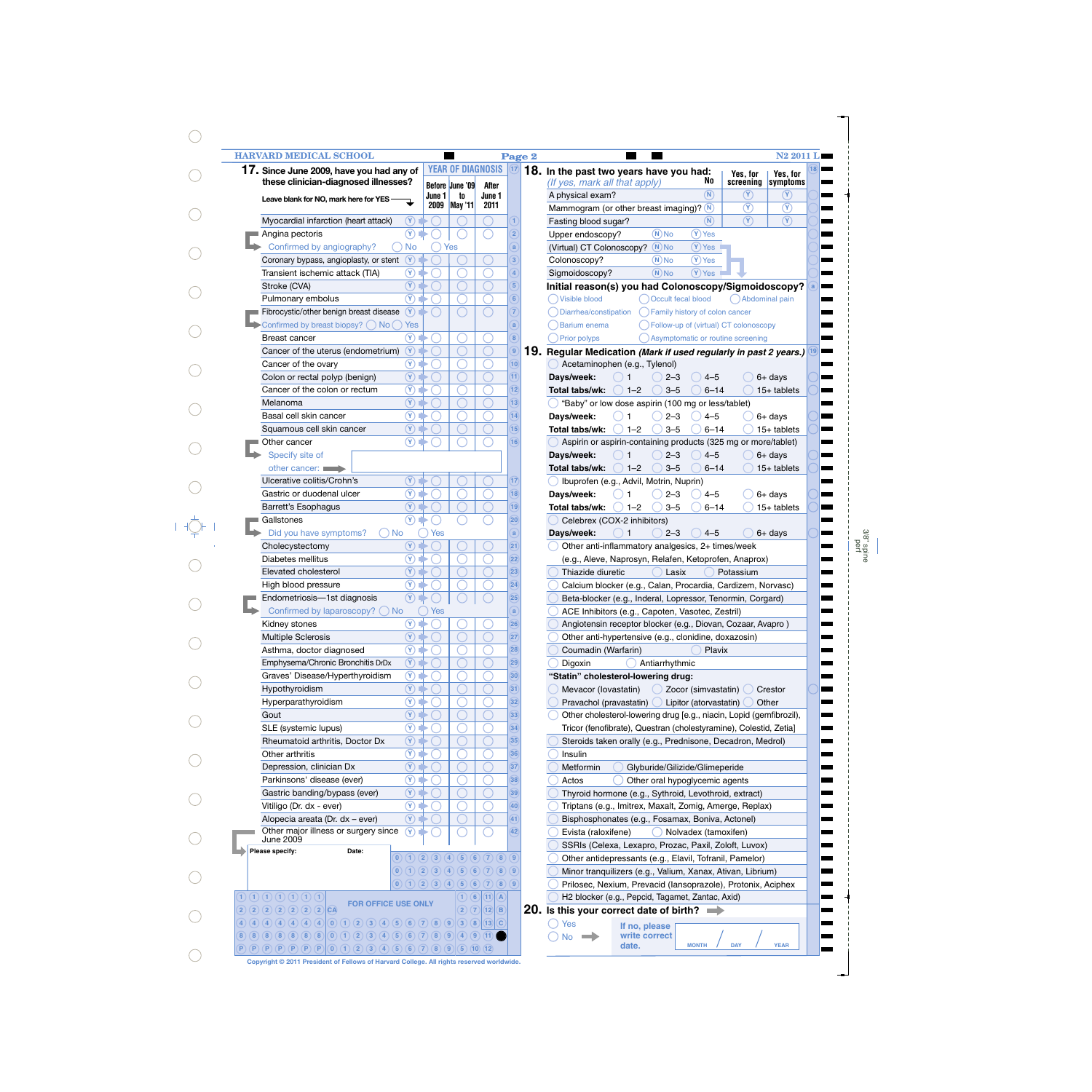|                                                   |                                                                                                                                                                                                                                         |                                                                                                                                                       |                 |    | <b>YEAR OF DIAGNOSIS</b> | Page 2                  | N <sub>2</sub> 2011                                                         |
|---------------------------------------------------|-----------------------------------------------------------------------------------------------------------------------------------------------------------------------------------------------------------------------------------------|-------------------------------------------------------------------------------------------------------------------------------------------------------|-----------------|----|--------------------------|-------------------------|-----------------------------------------------------------------------------|
| 17. Since June 2009, have you had any of          |                                                                                                                                                                                                                                         |                                                                                                                                                       |                 |    |                          |                         | 18. In the past two years have you had:<br>Yes, for<br>Yes, for             |
|                                                   | these clinician-diagnosed illnesses?                                                                                                                                                                                                    |                                                                                                                                                       | Before June '09 |    | After                    |                         | No<br>(If yes, mark all that apply)<br>screening<br>symptoms                |
| Leave blank for NO, mark here for YES-            |                                                                                                                                                                                                                                         |                                                                                                                                                       | June 1          | to | June 1                   |                         | $\binom{N}{k}$<br>$(\Upsilon)$<br>$\circled{r}$<br>A physical exam?         |
|                                                   |                                                                                                                                                                                                                                         |                                                                                                                                                       | 2009 May '11    |    | 2011                     |                         | $\circledcirc$<br>$\circledR$<br>Mammogram (or other breast imaging)? $(N)$ |
| Myocardial infarction (heart attack)              |                                                                                                                                                                                                                                         | $\circled{r}$                                                                                                                                         |                 |    |                          |                         | $\mathcal{F}$<br>$\circled{r}$<br>(N)<br>Fasting blood sugar?               |
| Angina pectoris                                   |                                                                                                                                                                                                                                         | $\circledR$                                                                                                                                           |                 |    |                          | $\overline{2}$          | $(Y)$ Yes<br>$\overline{M}$ No<br>Upper endoscopy?                          |
| Confirmed by angiography?                         |                                                                                                                                                                                                                                         | No                                                                                                                                                    | Yes             |    |                          | a                       | $(Y)$ Yes<br>(Virtual) CT Colonoscopy? N No                                 |
| Coronary bypass, angioplasty, or stent            |                                                                                                                                                                                                                                         | $\Omega$                                                                                                                                              |                 |    |                          | $\overline{3}$          | $(Y)$ Yes<br>Colonoscopy?<br>$(N)$ No                                       |
|                                                   |                                                                                                                                                                                                                                         | $\circledcirc$                                                                                                                                        |                 |    |                          | $\overline{4}$          | $(Y)$ Yes<br>$(N)$ No                                                       |
| Transient ischemic attack (TIA)                   |                                                                                                                                                                                                                                         |                                                                                                                                                       |                 |    |                          |                         | Sigmoidoscopy?                                                              |
| Stroke (CVA)                                      |                                                                                                                                                                                                                                         | $(\overline{Y})$ i                                                                                                                                    |                 |    |                          | $\boxed{5}$             | Initial reason(s) you had Colonoscopy/Sigmoidoscopy?                        |
| Pulmonary embolus                                 |                                                                                                                                                                                                                                         | $\left(\overline{\mathsf{Y}}\right)$ if                                                                                                               |                 |    |                          | $\left( 6\right)$       | () Visible blood<br>Occult fecal blood<br>() Abdominal pain                 |
| Fibrocystic/other benign breast disease           |                                                                                                                                                                                                                                         | $\circ$                                                                                                                                               |                 |    |                          | $\overline{7}$          | Diarrhea/constipation<br>() Family history of colon cancer                  |
|                                                   | Confirmed by breast biopsy? $\bigcirc$ No $\bigcirc$ Yes                                                                                                                                                                                |                                                                                                                                                       |                 |    |                          | $\mathbf{a}$            | Darium enema<br>() Follow-up of (virtual) CT colonoscopy                    |
| <b>Breast cancer</b>                              |                                                                                                                                                                                                                                         | $(Y) \Rightarrow$                                                                                                                                     |                 |    |                          | $\overline{\mathbf{8}}$ | Prior polyps<br>() Asymptomatic or routine screening                        |
| Cancer of the uterus (endometrium)                |                                                                                                                                                                                                                                         | $\circ$                                                                                                                                               |                 |    |                          | $\left(9\right)$        | 19. Regular Medication (Mark if used regularly in past 2 years.)            |
| Cancer of the ovary                               |                                                                                                                                                                                                                                         | $(\Upsilon)$                                                                                                                                          |                 |    |                          | (10)                    |                                                                             |
|                                                   |                                                                                                                                                                                                                                         |                                                                                                                                                       |                 |    |                          |                         | Acetaminophen (e.g., Tylenol)                                               |
| Colon or rectal polyp (benign)                    |                                                                                                                                                                                                                                         | $(\Upsilon)$                                                                                                                                          |                 |    |                          | (11)                    | Days/week:<br>$2 - 3$<br>$4 - 5$<br>$6+$ days                               |
| Cancer of the colon or rectum                     |                                                                                                                                                                                                                                         | $\mathcal{A}$                                                                                                                                         |                 |    |                          | (12)                    | $\bigcirc$ 1-2<br>$6 - 14$<br>Total tabs/wk:<br>$3 - 5$<br>$15+$ tablets    |
| Melanoma                                          |                                                                                                                                                                                                                                         | $\circledcirc$                                                                                                                                        |                 |    |                          | (13)                    | "Baby" or low dose aspirin (100 mg or less/tablet)                          |
| Basal cell skin cancer                            |                                                                                                                                                                                                                                         | $\mathcal{A}$                                                                                                                                         |                 |    |                          | (14)                    | Days/week:<br>$4 - 5$<br>$2 - 3$<br>$6+$ days                               |
| Squamous cell skin cancer                         |                                                                                                                                                                                                                                         | $(Y) \rightarrow$                                                                                                                                     |                 |    |                          | (15)                    | $1 - 2$<br>$3 - 5$<br>$6 - 14$<br>Total tabs/wk:<br>$15+$ tablets           |
| Other cancer                                      |                                                                                                                                                                                                                                         | (Y)                                                                                                                                                   |                 |    |                          | (16)                    | Aspirin or aspirin-containing products (325 mg or more/tablet)              |
| Specify site of                                   |                                                                                                                                                                                                                                         |                                                                                                                                                       |                 |    |                          |                         | Days/week:<br>$2 - 3$<br>$4 - 5$<br>$6+$ days                               |
|                                                   |                                                                                                                                                                                                                                         |                                                                                                                                                       |                 |    |                          |                         |                                                                             |
| other cancer:                                     |                                                                                                                                                                                                                                         |                                                                                                                                                       |                 |    |                          |                         | $1 - 2$<br>$3 - 5$<br>$6 - 14$<br>Total tabs/wk:<br>$15+$ tablets           |
| Ulcerative colitis/Crohn's                        |                                                                                                                                                                                                                                         | (Y)                                                                                                                                                   |                 |    |                          | (17)                    | Ibuprofen (e.g., Advil, Motrin, Nuprin)                                     |
| Gastric or duodenal ulcer                         |                                                                                                                                                                                                                                         | $\mathcal{F}(\mathbf{Y})$                                                                                                                             |                 |    |                          | (18)                    | Days/week:<br>$2 - 3$<br>$4 - 5$<br>$6+$ days                               |
| Barrett's Esophagus                               |                                                                                                                                                                                                                                         | $(Y) \Rightarrow$                                                                                                                                     |                 |    |                          | (19)                    | $() 1-2$<br>$3 - 5$<br>$6 - 14$<br>Total tabs/wk:<br>$15+$ tablets          |
| Gallstones                                        |                                                                                                                                                                                                                                         | $(Y) \Rightarrow$                                                                                                                                     |                 |    |                          | (20)                    | Celebrex (COX-2 inhibitors)                                                 |
| Did you have symptoms?                            | ○ No                                                                                                                                                                                                                                    |                                                                                                                                                       | Yes             |    |                          | $\mathbf{a}$            | Days/week:<br>$2 - 3$<br>$4 - 5$<br>$6+$ days<br>$\rightarrow$ 1<br>(       |
|                                                   |                                                                                                                                                                                                                                         | $(Y) \Rightarrow$                                                                                                                                     |                 |    |                          | (21)                    |                                                                             |
| Cholecystectomy                                   |                                                                                                                                                                                                                                         |                                                                                                                                                       |                 |    |                          |                         | Other anti-inflammatory analgesics, 2+ times/week                           |
| Diabetes mellitus                                 |                                                                                                                                                                                                                                         | $\mathcal{F}(\mathbf{Y})$                                                                                                                             |                 |    |                          | (22)                    | (e.g., Aleve, Naprosyn, Relafen, Ketoprofen, Anaprox)                       |
| Elevated cholesterol                              |                                                                                                                                                                                                                                         | $(Y) \Rightarrow$                                                                                                                                     |                 |    |                          | (23)                    | Thiazide diuretic<br>Potassium<br>Lasix                                     |
| High blood pressure                               |                                                                                                                                                                                                                                         | $(Y) \Rightarrow$                                                                                                                                     |                 |    |                          | (24)                    | Calcium blocker (e.g., Calan, Procardia, Cardizem, Norvasc)                 |
| Endometriosis-1st diagnosis                       |                                                                                                                                                                                                                                         | $\mathcal{A}$                                                                                                                                         |                 |    |                          | (25)                    | Beta-blocker (e.g., Inderal, Lopressor, Tenormin, Corgard)                  |
|                                                   | Confirmed by laparoscopy? $\bigcirc$ No                                                                                                                                                                                                 | ( )Yes                                                                                                                                                |                 |    |                          | $\mathbf{a}$            | ACE Inhibitors (e.g., Capoten, Vasotec, Zestril)                            |
| Kidney stones                                     |                                                                                                                                                                                                                                         | $\circledcirc$                                                                                                                                        |                 |    |                          | 26                      | Angiotensin receptor blocker (e.g., Diovan, Cozaar, Avapro)                 |
| <b>Multiple Sclerosis</b>                         |                                                                                                                                                                                                                                         | $\circledcirc$<br>$\bigcirc$                                                                                                                          | ◡               | ◡  |                          | (27)                    | Other anti-hypertensive (e.g., clonidine, doxazosin)                        |
|                                                   |                                                                                                                                                                                                                                         | $\odot \bigstar$                                                                                                                                      |                 |    |                          |                         |                                                                             |
| Asthma, doctor diagnosed                          |                                                                                                                                                                                                                                         |                                                                                                                                                       |                 |    |                          | (28)                    | Coumadin (Warfarin)<br>Plavix                                               |
| Emphysema/Chronic Bronchitis DrDx                 |                                                                                                                                                                                                                                         | $\circ$ $\bullet$ C                                                                                                                                   |                 |    |                          | (29)                    | Antiarrhythmic<br>Digoxin                                                   |
| Graves' Disease/Hyperthyroidism                   |                                                                                                                                                                                                                                         | $\circledcirc$                                                                                                                                        |                 |    |                          | $\left(30\right)$       | "Statin" cholesterol-lowering drug:                                         |
| Hypothyroidism                                    |                                                                                                                                                                                                                                         | $\circledcirc$                                                                                                                                        |                 |    |                          | (31)                    | Mevacor (lovastatin) ( Zocor (simvastatin) (<br>Crestor                     |
| Hyperparathyroidism                               |                                                                                                                                                                                                                                         | $\mathfrak{V}$ $\blacktriangleright$                                                                                                                  |                 |    |                          | (32)                    | Pravachol (pravastatin) $\bigcirc$ Lipitor (atorvastatin)<br>Other          |
| Gout                                              |                                                                                                                                                                                                                                         | $(Y) \Rightarrow$                                                                                                                                     |                 |    |                          | (33)                    | Other cholesterol-lowering drug [e.g., niacin, Lopid (gemfibrozil),         |
| SLE (systemic lupus)                              |                                                                                                                                                                                                                                         | $\mathfrak{V}$ $\blacktriangleright$                                                                                                                  |                 |    |                          | (34)                    | Tricor (fenofibrate), Questran (cholestyramine), Colestid, Zetia]           |
|                                                   |                                                                                                                                                                                                                                         | $\circledcirc$                                                                                                                                        |                 |    |                          | (35)                    |                                                                             |
| Rheumatoid arthritis, Doctor Dx                   |                                                                                                                                                                                                                                         |                                                                                                                                                       |                 |    |                          |                         | Steroids taken orally (e.g., Prednisone, Decadron, Medrol)                  |
| Other arthritis                                   |                                                                                                                                                                                                                                         | $\circledcirc$                                                                                                                                        |                 |    |                          | (36)                    | Insulin                                                                     |
| Depression, clinician Dx                          |                                                                                                                                                                                                                                         | $\mathcal{F}(\mathbf{Y})$                                                                                                                             |                 |    |                          | $\overline{37}$         | Glyburide/Gilizide/Glimeperide<br>Metformin                                 |
| Parkinsons' disease (ever)                        |                                                                                                                                                                                                                                         | $(Y) \Rightarrow$                                                                                                                                     |                 |    |                          | $\left  38 \right $     | Actos<br>Other oral hypoglycemic agents                                     |
| Gastric banding/bypass (ever)                     |                                                                                                                                                                                                                                         | $(Y) \Rightarrow$                                                                                                                                     |                 |    |                          | $\left 39\right\rangle$ | Thyroid hormone (e.g., Sythroid, Levothroid, extract)                       |
| Vitiligo (Dr. dx - ever)                          |                                                                                                                                                                                                                                         | $(Y) \Rightarrow$                                                                                                                                     |                 |    |                          | (40)                    | Triptans (e.g., Imitrex, Maxalt, Zomig, Amerge, Replax)                     |
| Alopecia areata (Dr. dx - ever)                   |                                                                                                                                                                                                                                         | $(9)$ $\bullet$ $\bigcirc$                                                                                                                            |                 |    |                          | (41)                    | Bisphosphonates (e.g., Fosamax, Boniva, Actonel)                            |
|                                                   |                                                                                                                                                                                                                                         |                                                                                                                                                       |                 |    |                          |                         |                                                                             |
| Other major illness or surgery since<br>June 2009 |                                                                                                                                                                                                                                         | $(Y) \Rightarrow$                                                                                                                                     |                 |    |                          | 42                      | Evista (raloxifene)<br>Nolvadex (tamoxifen)                                 |
| Please specify:                                   | Date:                                                                                                                                                                                                                                   |                                                                                                                                                       |                 |    |                          |                         | SSRIs (Celexa, Lexapro, Prozac, Paxil, Zoloft, Luvox)                       |
|                                                   |                                                                                                                                                                                                                                         | (0)(1)(2)(3)(4)(5)(6)(7)(8)(9)                                                                                                                        |                 |    |                          |                         | Other antidepressants (e.g., Elavil, Tofranil, Pamelor)                     |
|                                                   |                                                                                                                                                                                                                                         | (0)(1)(2)(3)(4)(5)(6)(7)(8)(9)                                                                                                                        |                 |    |                          |                         | Minor tranquilizers (e.g., Valium, Xanax, Ativan, Librium)                  |
|                                                   |                                                                                                                                                                                                                                         | $\mathbf{(0)}$ $\mathbf{(1)}$ $\mathbf{(2)}$ $\mathbf{(3)}$ $\mathbf{(4)}$ $\mathbf{(5)}$ $\mathbf{(6)}$ $\mathbf{(7)}$ $\mathbf{(8)}$ $\mathbf{(9)}$ |                 |    |                          |                         | Prilosec, Nexium, Prevacid (Iansoprazole), Protonix, Aciphex                |
| 1) (1) (1) (1) (1) (1) (1)                        |                                                                                                                                                                                                                                         |                                                                                                                                                       |                 |    | (1)(6)(11)(A)            |                         | H2 blocker (e.g., Pepcid, Tagamet, Zantac, Axid)                            |
|                                                   | FOR OFFICE USE ONLY                                                                                                                                                                                                                     |                                                                                                                                                       |                 |    | $2)$ (7) (12) (B)        |                         |                                                                             |
| $2)$ $2)$ $2)$ $2)$ $2)$ $2)$ $2)$ $CA$           |                                                                                                                                                                                                                                         |                                                                                                                                                       |                 |    |                          |                         | 20. Is this your correct date of birth? $\implies$                          |
|                                                   | $\fbox{4)}\ \fbox{4)}\ \fbox{4)}\ \fbox{4)}\ \fbox{4)}\ \fbox{4)}\ \fbox{4)}\ \fbox{4)}\ \fbox{4)}\ \fbox{5)}\ \fbox{6)}\ \fbox{6)}\ \fbox{7)}\ \fbox{8)}\ \fbox{9)}\ \fbox{8)}\ \fbox{9)}\ \fbox{9)}\ \fbox{8)}\ \fbox{13)}\ \fbox{C}$ |                                                                                                                                                       |                 |    |                          |                         | ) Yes<br>If no, please                                                      |
|                                                   |                                                                                                                                                                                                                                         |                                                                                                                                                       |                 |    |                          |                         |                                                                             |

**Copyright © 2011 President of Fellows of Harvard College. All rights reserved worldwide.**

 $\bigcirc$ 

 $\bigcirc$ 

3/8" spine perf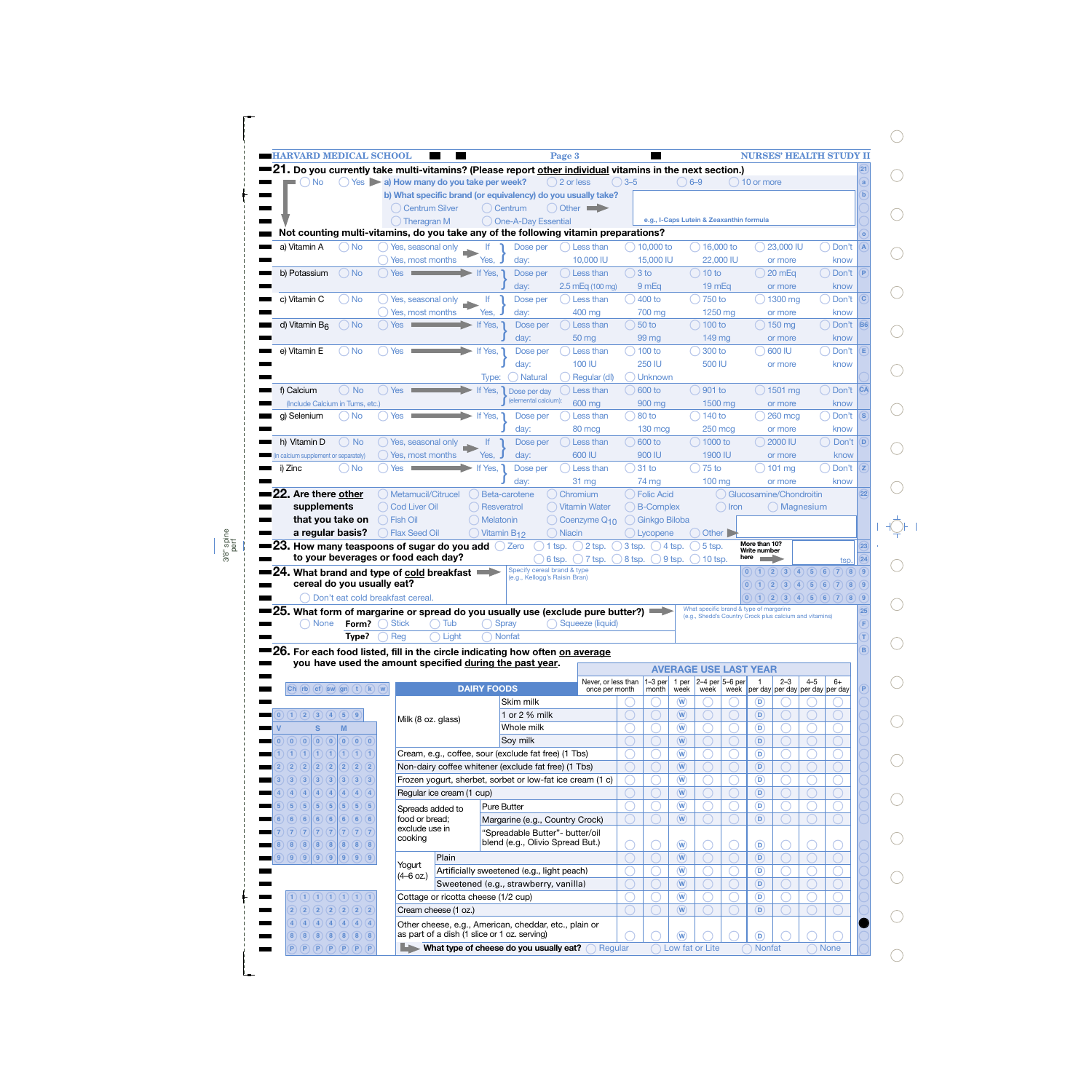|                                                                                                               |                                          | <b>HARVARD MEDICAL SCHOOL</b>                                                                                            |                                     |                    |                                                      | Page 3                                                                                                          |                       |                                     |                           |                                          |                 |                                                         |                          |                                       | <b>NURSES' HEALTH STUDY II</b>          |                   |
|---------------------------------------------------------------------------------------------------------------|------------------------------------------|--------------------------------------------------------------------------------------------------------------------------|-------------------------------------|--------------------|------------------------------------------------------|-----------------------------------------------------------------------------------------------------------------|-----------------------|-------------------------------------|---------------------------|------------------------------------------|-----------------|---------------------------------------------------------|--------------------------|---------------------------------------|-----------------------------------------|-------------------|
|                                                                                                               |                                          |                                                                                                                          |                                     |                    |                                                      | 21. Do you currently take multi-vitamins? (Please report <u>other individual</u> vitamins in the next section.) |                       |                                     |                           |                                          |                 |                                                         |                          |                                       |                                         |                   |
| <b>No</b>                                                                                                     |                                          | $\bigcirc$ Yes $\blacktriangleright$ a) How many do you take per week?                                                   |                                     |                    |                                                      | 2 or less                                                                                                       | $\bigcirc$ 3–5        |                                     | $()6 - 9$                 |                                          |                 | $\bigcirc$ 10 or more                                   |                          |                                       |                                         | a                 |
|                                                                                                               |                                          |                                                                                                                          |                                     |                    |                                                      | b) What specific brand (or equivalency) do you usually take?                                                    |                       |                                     |                           |                                          |                 |                                                         |                          |                                       |                                         |                   |
|                                                                                                               |                                          | C Centrum Silver                                                                                                         |                                     |                    | () Centrum                                           | Other $\blacksquare$                                                                                            |                       |                                     |                           |                                          |                 |                                                         |                          |                                       |                                         |                   |
|                                                                                                               |                                          | $( )$ Theragran M                                                                                                        |                                     |                    | One-A-Day Essential                                  |                                                                                                                 |                       |                                     |                           | e.g., I-Caps Lutein & Zeaxanthin formula |                 |                                                         |                          |                                       |                                         |                   |
|                                                                                                               |                                          |                                                                                                                          |                                     |                    |                                                      | Not counting multi-vitamins, do you take any of the following vitamin preparations?                             |                       |                                     |                           |                                          |                 |                                                         |                          |                                       |                                         |                   |
| a) Vitamin A                                                                                                  | ) No                                     |                                                                                                                          |                                     |                    | Dose per                                             | Less than                                                                                                       |                       | $( ) 10,000$ to                     |                           | $(16,000)$ to                            |                 |                                                         | 23,000 IU                |                                       | Don't                                   |                   |
|                                                                                                               |                                          | Yes, seasonal only                                                                                                       |                                     |                    |                                                      | 10,000 IU                                                                                                       |                       | 15,000 IU                           |                           | 22,000 IU                                |                 |                                                         |                          |                                       |                                         |                   |
|                                                                                                               |                                          | Yes, most months                                                                                                         |                                     | Yes.               | day:                                                 |                                                                                                                 |                       |                                     |                           |                                          |                 |                                                         | or more                  |                                       | know                                    | (P                |
| b) Potassium                                                                                                  | $)$ No                                   | $)$ Yes                                                                                                                  |                                     | If Yes,            | Dose per                                             | () Less than                                                                                                    | $3$ to                |                                     |                           | $\big)$ 10 to                            |                 |                                                         | $20$ mEq                 |                                       | Don't                                   |                   |
|                                                                                                               |                                          |                                                                                                                          |                                     |                    | day:                                                 | $2.5$ mEq (100 mg)                                                                                              |                       | 9 mEg                               |                           | 19 <sub>mEq</sub>                        |                 |                                                         | or more                  |                                       | know                                    |                   |
| c) Vitamin C                                                                                                  | ) No                                     | Yes, seasonal only                                                                                                       |                                     | f                  | Dose per                                             | Less than                                                                                                       |                       | $(400)$ to                          |                           | $750$ to                                 |                 |                                                         | 1300 mg                  |                                       | Don't                                   | C.                |
|                                                                                                               |                                          | Yes, most months                                                                                                         |                                     | Yes.               | day:                                                 | 400 mg                                                                                                          |                       | 700 mg                              |                           | 1250 mg                                  |                 |                                                         | or more                  |                                       | know                                    |                   |
| d) Vitamin $B_6$                                                                                              | ) No                                     | <b>Yes</b>                                                                                                               |                                     | If Yes,            | Dose per                                             | Less than                                                                                                       |                       | 50 to                               |                           | $) 100$ to                               |                 |                                                         | $()$ 150 mg              |                                       | Don't                                   | <b>B6</b>         |
|                                                                                                               |                                          |                                                                                                                          |                                     |                    | day:                                                 | 50 mg                                                                                                           |                       | 99 mg                               |                           | 149 mg                                   |                 |                                                         | or more                  |                                       | know                                    |                   |
| e) Vitamin E                                                                                                  | $\log$                                   | <b>Yes</b>                                                                                                               |                                     | If Yes,            | Dose per                                             | Less than                                                                                                       |                       | ) 100 to                            |                           | 300 to                                   |                 |                                                         | 600 IU                   |                                       | Don't                                   |                   |
|                                                                                                               |                                          |                                                                                                                          |                                     |                    | day:                                                 | 100 IU                                                                                                          |                       | <b>250 IU</b>                       |                           | 500 IU                                   |                 |                                                         | or more                  |                                       | know                                    |                   |
|                                                                                                               |                                          |                                                                                                                          |                                     | Type:              | ) Natural                                            | Regular (dl)                                                                                                    |                       | ) Unknown                           |                           |                                          |                 |                                                         |                          |                                       |                                         |                   |
| f) Calcium                                                                                                    | $\bigcirc$ No                            | <b>Yes</b>                                                                                                               |                                     | If Yes,            | Dose per day                                         | Less than                                                                                                       |                       | $\big)$ 600 to                      |                           | $\sqrt{901}$ to                          |                 |                                                         | 1501 mg                  |                                       | Don't                                   | <b>CA</b>         |
| (Include Calcium in Tums, etc.)                                                                               |                                          |                                                                                                                          |                                     |                    | (elemental calcium):                                 | 600 mg                                                                                                          |                       | 900 mg                              |                           | 1500 mg                                  |                 |                                                         | or more                  |                                       | know                                    |                   |
| g) Selenium                                                                                                   | ) No                                     | <b>Yes</b>                                                                                                               |                                     | If Yes,            | Dose per                                             | Less than                                                                                                       |                       | 80 to                               |                           | $\big)$ 140 to                           |                 |                                                         | <b>260 mcg</b>           |                                       | Don't                                   | ís.               |
|                                                                                                               |                                          |                                                                                                                          |                                     |                    | day:                                                 | 80 mca                                                                                                          |                       | <b>130 mcg</b>                      |                           | <b>250 mcg</b>                           |                 |                                                         | or more                  |                                       | know                                    |                   |
| h) Vitamin D                                                                                                  | $\Box$ No                                | ) Yes, seasonal only                                                                                                     |                                     | f                  | Dose per                                             | Less than                                                                                                       |                       | $000$ to                            |                           | $) 1000$ to                              |                 |                                                         | 2000 IU                  |                                       | Don't $\Box$                            |                   |
| calcium supplement or separately)                                                                             |                                          | Yes, most months                                                                                                         |                                     | Yes.               | day:                                                 | 600 IU                                                                                                          |                       | 900 IU                              |                           | <b>1900 IU</b>                           |                 |                                                         | or more                  |                                       | know                                    |                   |
| i) Zinc                                                                                                       | ○ No                                     | <b>Yes</b>                                                                                                               |                                     | If Yes, 7          | Dose per                                             | Less than                                                                                                       |                       | $31$ to                             |                           | $75$ to                                  |                 |                                                         | $101$ mg                 |                                       | Don't                                   |                   |
|                                                                                                               |                                          |                                                                                                                          |                                     |                    | day:                                                 | 31 <sub>mg</sub>                                                                                                |                       | 74 mg                               |                           | $100 \text{ mg}$                         |                 |                                                         | or more                  |                                       | know                                    |                   |
| 22. Are there other                                                                                           |                                          | Metamucil/Citrucel                                                                                                       |                                     |                    | Beta-carotene                                        | Chromium                                                                                                        |                       | <b>S</b> Folic Acid                 |                           |                                          |                 | Glucosamine/Chondroitin                                 |                          |                                       |                                         | $\overline{22}$   |
| supplements                                                                                                   |                                          | ○ Cod Liver Oil                                                                                                          |                                     |                    | Resveratrol                                          | <b>Vitamin Water</b>                                                                                            |                       | B-Complex                           |                           |                                          | $\bigcirc$ Iron |                                                         |                          | () Magnesium                          |                                         |                   |
| that you take on                                                                                              |                                          | ○ Fish Oil                                                                                                               |                                     | Melatonin          |                                                      |                                                                                                                 |                       |                                     |                           |                                          |                 |                                                         |                          |                                       |                                         |                   |
|                                                                                                               |                                          |                                                                                                                          |                                     |                    |                                                      | Coenzyme Q <sub>10</sub>                                                                                        |                       | ◯ Ginkgo Biloba                     |                           |                                          |                 |                                                         |                          |                                       |                                         |                   |
|                                                                                                               | a regular basis?                         | Flax Seed Oil                                                                                                            |                                     | ) Vitamin $B_{12}$ |                                                      | Niacin                                                                                                          |                       | $)$ Lycopene                        |                           | Other D                                  |                 |                                                         |                          |                                       |                                         |                   |
|                                                                                                               |                                          |                                                                                                                          |                                     |                    |                                                      | $\frac{1}{2}$ 1 tsp.                                                                                            |                       | $\bigcirc$ 3 tsp. $\bigcirc$ 4 tsp. |                           | 5 tsp.                                   |                 | More than 10?                                           |                          |                                       |                                         | 23                |
|                                                                                                               |                                          | 23. How many teaspoons of sugar do you add $\bigcirc$ Zero<br>to your beverages or food each day?                        |                                     |                    |                                                      | $\bigcirc$ 2 tsp.                                                                                               | $($ )                 |                                     |                           | 10 tsp.                                  |                 | Write number<br>here                                    |                          |                                       |                                         | $\left(24\right)$ |
|                                                                                                               |                                          |                                                                                                                          |                                     |                    | Specify cereal brand & type                          | $6$ tsp.<br>$\bigcirc$ 7 tsp.                                                                                   | 8 tsp.                | $\bigcirc$ 9 tsp.                   |                           |                                          |                 | $\left( 2\right)$<br>(0)(1)                             | $\mathbf{3}$             | $\left(5\right)$<br>$\left( 4\right)$ | tsp.<br>(6)<br>(7)(8)                   | $\left(9\right)$  |
|                                                                                                               |                                          | $\blacksquare$ 24. What brand and type of cold breakfast $\blacksquare\blacktriangleright$<br>cereal do you usually eat? |                                     |                    | (e.g., Kellogg's Raisin Bran)                        |                                                                                                                 |                       |                                     |                           |                                          |                 | (0)(1)(2)                                               | $\left( 3\right)$<br>(4) |                                       | (5)(6)(7)(8)                            | $\left(9\right)$  |
|                                                                                                               |                                          | Don't eat cold breakfast cereal.                                                                                         |                                     |                    |                                                      |                                                                                                                 |                       |                                     |                           |                                          |                 |                                                         |                          |                                       | (0)(1)(2)(3)(4)(5)(6)(7)(8)             | $\left(9\right)$  |
|                                                                                                               |                                          |                                                                                                                          |                                     |                    |                                                      |                                                                                                                 |                       |                                     |                           |                                          |                 | What specific brand & type of margarine                 |                          |                                       |                                         |                   |
| None                                                                                                          |                                          | Form? $\bigcirc$ Stick                                                                                                   | $\bigcap$ Tub                       |                    | Spray                                                | 25. What form of margarine or spread do you usually use (exclude pure butter?)<br>Squeeze (liquid)              |                       |                                     |                           |                                          |                 | (e.g., Shedd's Country Crock plus calcium and vitamins) |                          |                                       |                                         | F                 |
|                                                                                                               | Type?                                    | Reg                                                                                                                      | Light                               |                    | <b>Nonfat</b>                                        |                                                                                                                 |                       |                                     |                           |                                          |                 |                                                         |                          |                                       |                                         |                   |
|                                                                                                               |                                          |                                                                                                                          |                                     |                    |                                                      |                                                                                                                 |                       |                                     |                           |                                          |                 |                                                         |                          |                                       |                                         | B                 |
|                                                                                                               |                                          |                                                                                                                          |                                     |                    |                                                      | $\blacksquare$ 26. For each food listed, fill in the circle indicating how often <u>on average</u>              |                       |                                     |                           |                                          |                 |                                                         |                          |                                       |                                         |                   |
|                                                                                                               |                                          | you have used the amount specified during the past year.                                                                 |                                     |                    |                                                      |                                                                                                                 |                       |                                     |                           |                                          |                 | <b>AVERAGE USE LAST YEAR</b>                            |                          |                                       |                                         |                   |
| $(Ch)$ $(rb)$ $(cf)$ $sw$ $gn)$ $(t)$ $(k)$ $(w)$                                                             |                                          |                                                                                                                          |                                     | <b>DAIRY FOODS</b> |                                                      | Never, or less than<br>once per month                                                                           |                       | $1-3$ per<br>month                  | 1 per<br>week             | $2-4$ per $5-6$ per<br>week              | week            | $\overline{1}$                                          | $2 - 3$                  | $4 - 5$                               | $6+$<br>per day per day per day per day |                   |
|                                                                                                               |                                          |                                                                                                                          |                                     |                    | Skim milk                                            |                                                                                                                 |                       |                                     | $\left(\mathsf{w}\right)$ |                                          |                 | (D)                                                     |                          |                                       |                                         |                   |
|                                                                                                               |                                          |                                                                                                                          |                                     |                    | 1 or 2 % milk                                        |                                                                                                                 |                       |                                     | $\left(\mathbf{W}\right)$ |                                          |                 | (D)                                                     |                          |                                       |                                         |                   |
| s                                                                                                             | M                                        | Milk (8 oz. glass)                                                                                                       |                                     |                    | Whole milk                                           |                                                                                                                 |                       |                                     |                           |                                          |                 |                                                         |                          |                                       |                                         |                   |
| $\circ$                                                                                                       |                                          |                                                                                                                          |                                     |                    |                                                      |                                                                                                                 |                       |                                     | $\circledast$             |                                          |                 | $\circledcirc$                                          |                          |                                       |                                         |                   |
| $\boxed{0}$<br>$\left( \bullet \right)$<br>$\left( 0 \right)$                                                 | $  \mathbf{0}  \mathbf{0}  \mathbf{0}  $ |                                                                                                                          |                                     |                    | Soy milk                                             |                                                                                                                 |                       |                                     | $\circledR$               |                                          |                 | $\circledR$                                             |                          |                                       |                                         |                   |
| (1)(1)                                                                                                        | (1)(1)(1)                                |                                                                                                                          |                                     |                    | Cream, e.g., coffee, sour (exclude fat free) (1 Tbs) |                                                                                                                 |                       |                                     | $\circledast$             |                                          |                 | $\circledR$                                             |                          |                                       |                                         |                   |
| (2)(2)<br>(2)(2)                                                                                              | (2)(2)(2)                                |                                                                                                                          |                                     |                    | Non-dairy coffee whitener (exclude fat free) (1 Tbs) |                                                                                                                 |                       |                                     | $\circledR$               |                                          |                 | $\circledR$                                             |                          |                                       |                                         |                   |
| (3)(3)                                                                                                        | (3)(3)(3)(3)(3)                          |                                                                                                                          |                                     |                    |                                                      | Frozen yogurt, sherbet, sorbet or low-fat ice cream (1 c)                                                       |                       |                                     | $\circled{w}$             |                                          |                 | $\circledR$                                             |                          |                                       |                                         |                   |
| (4)(4)<br>$\left(4\right)\left(4\right)$                                                                      | ( 4)(4)(4)                               |                                                                                                                          | Regular ice cream (1 cup)           |                    |                                                      |                                                                                                                 |                       |                                     | $\circledR$               |                                          |                 | $\circledR$                                             |                          |                                       |                                         |                   |
| (5)(5)                                                                                                        | (5)(5)(5)(5)(5)                          |                                                                                                                          | Spreads added to                    |                    | <b>Pure Butter</b>                                   |                                                                                                                 |                       |                                     | $\circled{w}$             |                                          |                 | $\circledR$                                             |                          |                                       |                                         |                   |
| (6)(6)                                                                                                        | (6)(6)(6)(6)(6)                          | food or bread:<br>exclude use in                                                                                         |                                     |                    |                                                      | Margarine (e.g., Country Crock)                                                                                 | ∩                     |                                     | $\circledR$               |                                          |                 | $\circ$                                                 |                          |                                       |                                         |                   |
| (7)(7)<br>(7)(7)                                                                                              | (7)(7)(7)                                | cooking                                                                                                                  |                                     |                    |                                                      | 'Spreadable Butter"- butter/oil                                                                                 |                       |                                     |                           |                                          |                 |                                                         |                          |                                       |                                         |                   |
| (8)(8)<br>(8)(8)                                                                                              | 0(8)(8)(8)                               |                                                                                                                          |                                     |                    |                                                      | blend (e.g., Olivio Spread But.)                                                                                | $\hspace{0.15cm}\Box$ |                                     | $\circledast$             |                                          |                 | $\circledcirc$                                          |                          |                                       |                                         |                   |
|                                                                                                               |                                          | Yogurt                                                                                                                   | Plain                               |                    |                                                      |                                                                                                                 |                       |                                     | $\circledR$               |                                          |                 | $\circledR$                                             |                          |                                       |                                         |                   |
|                                                                                                               |                                          | $(4 - 6$ oz.)                                                                                                            |                                     |                    | Artificially sweetened (e.g., light peach)           |                                                                                                                 |                       |                                     | $\circled{w}$             |                                          |                 | $^{\circ}$                                              |                          |                                       |                                         |                   |
| $(0)$ $(1)$ $(2)$ $(3)$ $(4)$ $(5)$ $(9)$<br>1) (1) (1)<br>(9)(9)(9)(9)(9)(9)(9)                              |                                          |                                                                                                                          |                                     |                    | Sweetened (e.g., strawberry, vanilla)                |                                                                                                                 |                       |                                     | $\circledR$               |                                          |                 | $\circledR$                                             |                          |                                       |                                         |                   |
| $\widehat{A}$ ) $\widehat{A}$ ) $\widehat{A}$ ) $\widehat{A}$ ) $\widehat{A}$ ) $\widehat{A}$ ) $\widehat{A}$ |                                          |                                                                                                                          | Cottage or ricotta cheese (1/2 cup) |                    |                                                      |                                                                                                                 |                       |                                     | $\circledR$               |                                          |                 | $^{\circ}$                                              |                          |                                       |                                         |                   |
| $2)$ $2)$ $2)$ $2)$ $2)$ $2)$ $2)$                                                                            |                                          |                                                                                                                          | Cream cheese (1 oz.)                |                    |                                                      |                                                                                                                 |                       |                                     | $\circled{w}$             |                                          |                 | $\circ$                                                 |                          |                                       |                                         |                   |
| $\fbox{4)}$ (4) (4) (4) (4) (4) (4)                                                                           |                                          |                                                                                                                          |                                     |                    | as part of a dish (1 slice or 1 oz. serving)         | Other cheese, e.g., American, cheddar, etc., plain or                                                           |                       |                                     | $\left(\mathbf{W}\right)$ |                                          |                 | $\circ$                                                 |                          |                                       |                                         |                   |

 $\bigcirc$  $\bigcirc$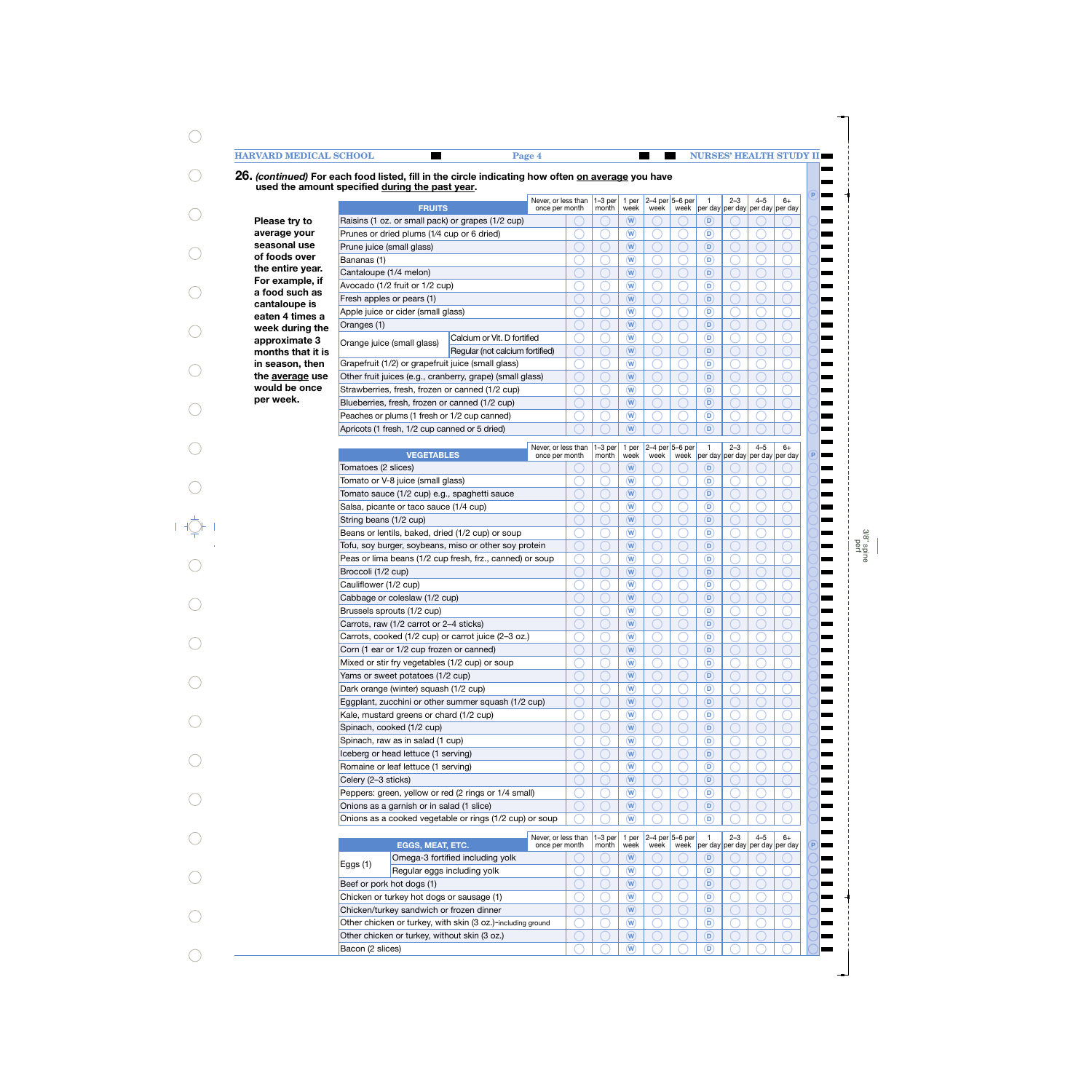**P**

**Read**  $\blacksquare$  $\blacksquare$  $\blacksquare$  $\blacksquare$  $\overline{\phantom{0}}$ - $\blacksquare$  $\blacksquare$  $\blacksquare$  $\blacksquare$ 

**P**

 $\blacksquare$  $\blacksquare$  $\overline{\phantom{0}}$ 

 $\overline{\phantom{0}}$ 

l wa  $\blacksquare$ 

 $\blacksquare$  $\blacksquare$  $\equiv$ 

 $\overline{\phantom{0}}$  $\blacksquare$  $\blacksquare$ 

 $\blacksquare$  $\blacksquare$  $\blacksquare$  $\overline{\phantom{0}}$  $\blacksquare$  $\blacksquare$ 

 $\blacksquare$  $\blacksquare$  $\blacksquare$ -

 $\overline{\phantom{a}}$ 

▬

œ ▬

**P**

#### **26.** *(continued)* **For each food listed, fill in the circle indicating how often on average you have used the amount specified during the past year.**

**Please try to average your seasonal use of foods over the entire year. For example, if a food such as cantaloupe is eaten 4 times a week during the approximate 3 months that it is in season, then the average use would be once per week.**

|                                                             |                                  | Never, or less than                   | $1-3$ per          | 1 per                     | $2-4$ per 5-6 per |                            | 1                         | $2 - 3$ | $4 - 5$                                      | $6+$ |
|-------------------------------------------------------------|----------------------------------|---------------------------------------|--------------------|---------------------------|-------------------|----------------------------|---------------------------|---------|----------------------------------------------|------|
| <b>FRUITS</b>                                               |                                  | once per month                        | month              | week                      | week              |                            |                           |         | week   per day   per day   per day   per day |      |
| Raisins (1 oz. or small pack) or grapes (1/2 cup)           |                                  |                                       |                    | $(\mathsf{W})$            |                   |                            | D                         |         |                                              |      |
| Prunes or dried plums (1/4 cup or 6 dried)                  |                                  |                                       |                    | (W)                       |                   |                            | D                         |         |                                              |      |
| Prune juice (small glass)                                   |                                  |                                       |                    | $(\mathsf{W})$            |                   |                            | D)                        |         |                                              |      |
| Bananas (1)                                                 |                                  |                                       |                    | (W)                       |                   |                            | D                         |         |                                              |      |
| Cantaloupe (1/4 melon)                                      |                                  |                                       |                    | $(\mathsf{W})$            |                   |                            | D)                        |         |                                              |      |
| Avocado (1/2 fruit or 1/2 cup)                              |                                  |                                       |                    | (W)                       |                   |                            | D                         |         |                                              |      |
| Fresh apples or pears (1)                                   |                                  |                                       |                    | $(\mathsf{W})$            |                   |                            | D)                        |         |                                              |      |
| Apple juice or cider (small glass)                          |                                  |                                       |                    | (W)                       |                   |                            | D                         |         |                                              |      |
| Oranges (1)                                                 |                                  |                                       |                    | $(\mathsf{W})$            |                   |                            | D)                        |         |                                              |      |
| Orange juice (small glass)                                  | Calcium or Vit. D fortified      |                                       |                    | (W)                       |                   |                            | D                         |         |                                              |      |
|                                                             | Regular (not calcium fortified)  |                                       |                    | $(\mathsf{W})$            |                   |                            | D)                        |         |                                              |      |
| Grapefruit (1/2) or grapefruit juice (small glass)          |                                  |                                       |                    | (W)                       |                   |                            | D                         |         |                                              |      |
| Other fruit juices (e.g., cranberry, grape) (small glass)   |                                  |                                       |                    | $(\mathsf{W})$            |                   |                            | D)                        |         |                                              |      |
| Strawberries, fresh, frozen or canned (1/2 cup)             |                                  |                                       |                    | (W)                       |                   |                            | D                         |         |                                              |      |
| Blueberries, fresh, frozen or canned (1/2 cup)              |                                  |                                       |                    | $(\mathsf{W})$            |                   |                            | D)                        |         |                                              |      |
| Peaches or plums (1 fresh or 1/2 cup canned)                |                                  |                                       |                    | (W)                       |                   |                            | D                         |         |                                              |      |
| Apricots (1 fresh, 1/2 cup canned or 5 dried)               |                                  |                                       |                    | $(\mathsf{W})$            |                   |                            | D)                        |         |                                              |      |
|                                                             |                                  | Never, or less than                   | $1-3$ per          | 1 per                     |                   | 2–4 per $5$ –6 per         | 1                         | $2 - 3$ | $4 - 5$                                      | $6+$ |
| <b>VEGETABLES</b>                                           |                                  | once per month                        | month              | week                      | week              | week                       |                           |         | per day per day per day per day              |      |
| Tomatoes (2 slices)                                         |                                  |                                       |                    | $(\mathbf{W})$            |                   |                            | D)                        |         |                                              |      |
| Tomato or V-8 juice (small glass)                           |                                  |                                       |                    | (W)                       |                   |                            | D)                        |         |                                              |      |
| Tomato sauce (1/2 cup) e.g., spaghetti sauce                |                                  |                                       |                    | $(\mathsf{W})$            |                   |                            | D)                        |         |                                              |      |
| Salsa, picante or taco sauce (1/4 cup)                      |                                  |                                       |                    | (W)                       |                   |                            | D                         |         |                                              |      |
| String beans (1/2 cup)                                      |                                  |                                       |                    | $(\mathsf{W})$            |                   |                            | D)                        |         |                                              |      |
| Beans or lentils, baked, dried (1/2 cup) or soup            |                                  |                                       |                    | (W)                       |                   |                            | (D)                       |         |                                              |      |
| Tofu, soy burger, soybeans, miso or other soy protein       |                                  |                                       |                    | $(\mathsf{W})$            |                   |                            | D)                        |         |                                              |      |
| Peas or lima beans (1/2 cup fresh, frz., canned) or soup    |                                  |                                       |                    | (W)                       |                   |                            | D)                        |         |                                              |      |
| Broccoli (1/2 cup)                                          |                                  |                                       |                    | $(\mathsf{W})$            |                   |                            | D)                        |         |                                              |      |
| Cauliflower (1/2 cup)                                       |                                  |                                       |                    | (W)                       |                   |                            | D)                        |         |                                              |      |
| Cabbage or coleslaw (1/2 cup)                               |                                  |                                       |                    | $(\mathsf{W})$            |                   |                            | D)                        |         |                                              |      |
| Brussels sprouts (1/2 cup)                                  |                                  |                                       |                    | (W)                       |                   |                            | D)                        |         |                                              |      |
| Carrots, raw (1/2 carrot or 2-4 sticks)                     |                                  |                                       |                    | $\left(\mathsf{W}\right)$ |                   |                            | D)                        |         |                                              |      |
| Carrots, cooked (1/2 cup) or carrot juice (2-3 oz.)         |                                  |                                       |                    | (W)                       |                   |                            | D)                        |         |                                              |      |
| Corn (1 ear or 1/2 cup frozen or canned)                    |                                  |                                       |                    | $\left(\mathsf{W}\right)$ |                   |                            | D)                        |         |                                              |      |
| Mixed or stir fry vegetables (1/2 cup) or soup              |                                  |                                       |                    | (W)                       |                   |                            | D)                        |         |                                              |      |
| Yams or sweet potatoes (1/2 cup)                            |                                  |                                       |                    | $\mathbf{w}$              |                   |                            | ď                         |         |                                              |      |
| Dark orange (winter) squash (1/2 cup)                       |                                  |                                       |                    | (W)                       |                   |                            | D)                        |         |                                              |      |
| Eggplant, zucchini or other summer squash (1/2 cup)         |                                  |                                       |                    | $\left(\mathbf{W}\right)$ |                   |                            | D)                        |         |                                              |      |
| Kale, mustard greens or chard (1/2 cup)                     |                                  |                                       |                    | $\widehat{(\mathsf{W})}$  |                   |                            | D)                        |         |                                              |      |
| Spinach, cooked (1/2 cup)                                   |                                  |                                       |                    | (W)                       |                   |                            | $\left(\mathsf{D}\right)$ |         |                                              |      |
| Spinach, raw as in salad (1 cup)                            |                                  |                                       |                    | (W)                       |                   |                            | D)                        |         |                                              |      |
| Iceberg or head lettuce (1 serving)                         |                                  |                                       |                    | (W)                       |                   |                            | $\left(\mathsf{D}\right)$ |         |                                              |      |
| Romaine or leaf lettuce (1 serving)                         |                                  |                                       |                    | (W)                       |                   |                            | D)                        |         |                                              |      |
| Celery (2-3 sticks)                                         |                                  |                                       |                    | (W)                       |                   |                            | D)                        |         |                                              |      |
| Peppers: green, yellow or red (2 rings or 1/4 small)        |                                  |                                       |                    | (W)                       |                   |                            | D)                        |         |                                              |      |
| Onions as a garnish or in salad (1 slice)                   |                                  |                                       |                    | $(\mathsf{W})$            |                   |                            | D)                        |         |                                              |      |
| Onions as a cooked vegetable or rings (1/2 cup) or soup     |                                  |                                       |                    | (W)                       |                   |                            | D)                        |         |                                              |      |
|                                                             |                                  |                                       |                    |                           |                   |                            |                           |         |                                              |      |
| EGGS, MEAT, ETC.                                            |                                  | Never, or less than<br>once per month | $1-3$ per<br>month | 1 per<br>week             | week              | 2–4 per $5$ –6 per<br>week | 1                         | $2 - 3$ | $4 - 5$<br>per day per day per day per day   | 6+   |
|                                                             | Omega-3 fortified including yolk |                                       |                    | (W)                       |                   |                            | D)                        |         |                                              |      |
| Eggs (1)<br>Regular eggs including yolk                     |                                  |                                       |                    | (W)                       |                   |                            | D)                        |         |                                              |      |
| Beef or pork hot dogs (1)                                   |                                  |                                       |                    | (W)                       |                   |                            | $\left(\mathsf{D}\right)$ |         |                                              |      |
| Chicken or turkey hot dogs or sausage (1)                   |                                  |                                       |                    | (W)                       |                   |                            | D)                        |         |                                              |      |
| Chicken/turkey sandwich or frozen dinner                    |                                  |                                       |                    | (W)                       |                   |                            | $\left(\mathsf{D}\right)$ |         |                                              |      |
| Other chicken or turkey, with skin (3 oz.)-including ground |                                  |                                       |                    | (W)                       |                   |                            | D)                        |         |                                              |      |
|                                                             |                                  |                                       |                    |                           |                   |                            |                           |         |                                              |      |
| Other chicken or turkey, without skin (3 oz.)               |                                  |                                       |                    | $(\mathsf{W})$            |                   |                            | (D)                       |         |                                              |      |
| Bacon (2 slices)                                            |                                  |                                       |                    | (W)                       |                   |                            | D)                        |         |                                              |      |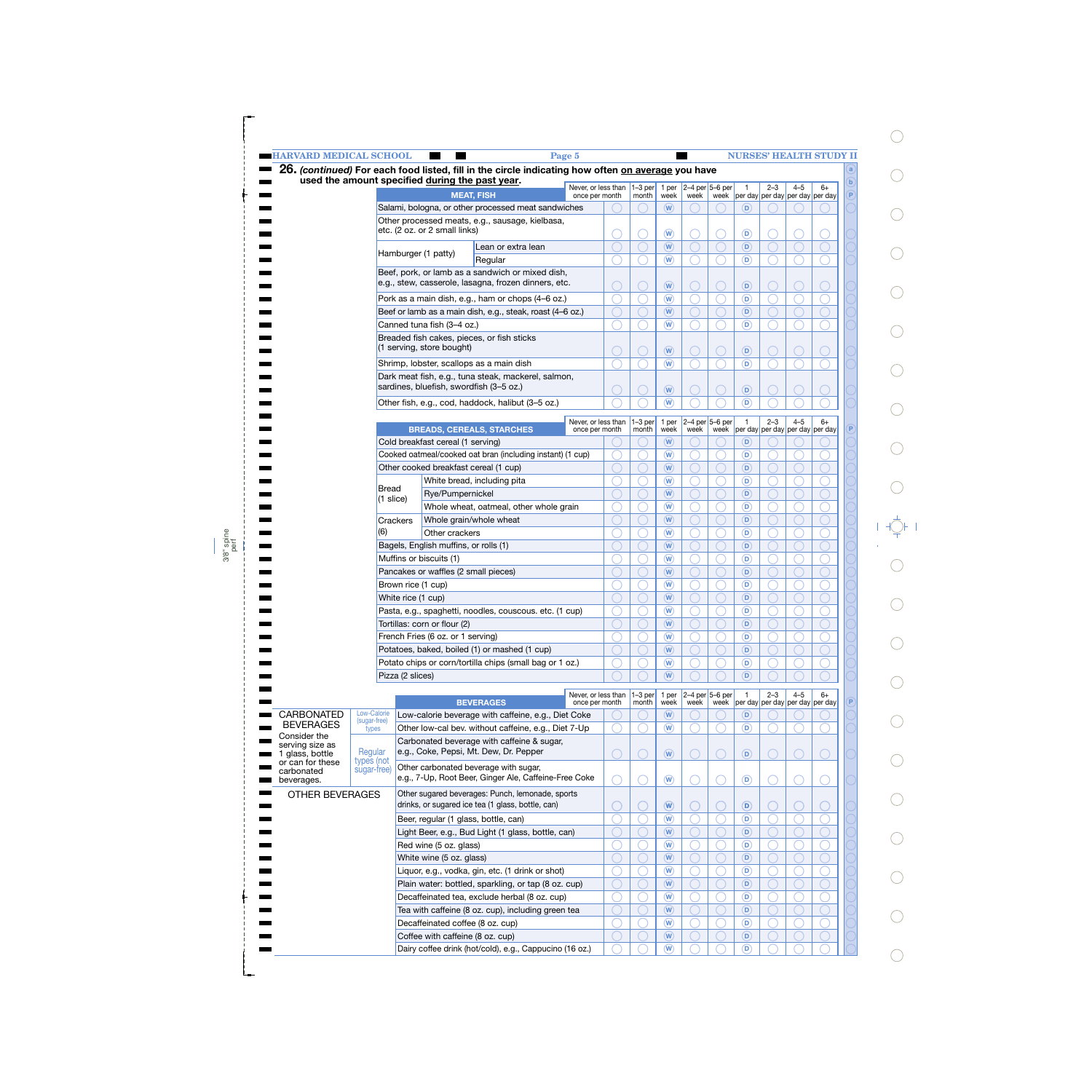| <b>EMBRICAL SCHOOL</b>                          |                       |                         |                                                    | 26. (continued) For each food listed, fill in the circle indicating how often on average you have         | Page 5                                |                                     |                                                       |      |                           |                                                |         |         | <b>NURSES' HEALTH STUDY II</b>               |              |
|-------------------------------------------------|-----------------------|-------------------------|----------------------------------------------------|-----------------------------------------------------------------------------------------------------------|---------------------------------------|-------------------------------------|-------------------------------------------------------|------|---------------------------|------------------------------------------------|---------|---------|----------------------------------------------|--------------|
| used the amount specified during the past year. |                       |                         |                                                    |                                                                                                           |                                       |                                     |                                                       |      |                           |                                                |         |         |                                              | $\mathbf{b}$ |
|                                                 |                       |                         |                                                    | <b>MEAT, FISH</b>                                                                                         | Never, or less than<br>once per month | $1-3$ per 1 per<br>month            | week                                                  | week | $2-4$ per $5-6$ per       |                                                | $2 - 3$ | $4 - 5$ | 6+<br>week per day per day per day per day   | $\mathbf{P}$ |
|                                                 |                       |                         |                                                    | Salami, bologna, or other processed meat sandwiches                                                       |                                       |                                     | $\left(\mathbf{W}\right)$                             |      |                           | $\mathbf \left( \mathbf D \right)$             |         |         |                                              |              |
|                                                 |                       |                         |                                                    | Other processed meats, e.g., sausage, kielbasa,                                                           |                                       |                                     |                                                       |      |                           |                                                |         |         |                                              |              |
|                                                 |                       |                         | etc. (2 oz. or 2 small links)                      |                                                                                                           |                                       | $\left(\widehat{\mathbf{W}}\right)$ |                                                       |      | $\circledcirc$            |                                                |         |         |                                              |              |
|                                                 |                       | Hamburger (1 patty)     |                                                    | Lean or extra lean                                                                                        |                                       |                                     | $\left(\widehat{\mathsf{W}}\right)$                   |      |                           | $\circledcirc$                                 |         |         |                                              |              |
|                                                 |                       |                         |                                                    | Regular                                                                                                   |                                       |                                     | $\circled{w}$                                         |      |                           | $\circledcirc$                                 |         |         |                                              |              |
|                                                 |                       |                         |                                                    | Beef, pork, or lamb as a sandwich or mixed dish,<br>e.g., stew, casserole, lasagna, frozen dinners, etc.  |                                       |                                     | $\widehat{(\mathsf{W})}$                              |      |                           | $\circledcirc$                                 |         |         |                                              |              |
|                                                 |                       |                         |                                                    | Pork as a main dish, e.g., ham or chops (4-6 oz.)                                                         |                                       |                                     | $\widehat{(\mathsf{W})}$                              |      |                           | $\circledcirc$                                 |         |         |                                              |              |
|                                                 |                       |                         |                                                    | Beef or lamb as a main dish, e.g., steak, roast (4-6 oz.)                                                 |                                       |                                     | $\left(\widehat{\mathsf{W}}\right)$                   |      |                           | $\circledR$                                    |         |         |                                              |              |
|                                                 |                       |                         | Canned tuna fish (3-4 oz.)                         |                                                                                                           |                                       |                                     | $\circled{w}$                                         |      |                           | $\circledcirc$                                 |         |         |                                              |              |
|                                                 |                       |                         |                                                    | Breaded fish cakes, pieces, or fish sticks                                                                |                                       |                                     |                                                       |      |                           |                                                |         |         |                                              |              |
|                                                 |                       |                         | (1 serving, store bought)                          |                                                                                                           |                                       |                                     | $\widehat{(\mathsf{W})}$                              |      |                           | $\circledR$                                    |         |         |                                              |              |
|                                                 |                       |                         |                                                    | Shrimp, lobster, scallops as a main dish                                                                  |                                       |                                     | $\circled{w}$                                         |      |                           | $\circledR$                                    |         |         |                                              |              |
|                                                 |                       |                         |                                                    | Dark meat fish, e.g., tuna steak, mackerel, salmon,                                                       |                                       |                                     |                                                       |      |                           |                                                |         |         |                                              |              |
|                                                 |                       |                         |                                                    | sardines, bluefish, swordfish (3-5 oz.)                                                                   |                                       |                                     | $\left(\widehat{\mathsf{W}}\right)$                   |      |                           | $\circ$                                        |         |         |                                              |              |
|                                                 |                       |                         |                                                    | Other fish, e.g., cod, haddock, halibut (3-5 oz.)                                                         |                                       |                                     | $\widehat{(\mathsf{W})}$                              |      |                           | $\circ$                                        |         |         |                                              |              |
|                                                 |                       |                         |                                                    |                                                                                                           | Never, or less than                   | $1-3$ per                           | 1 per                                                 |      | $2-4$ per 5-6 per         | $\mathbf{1}$                                   | $2 - 3$ | $4 - 5$ | 6+                                           |              |
|                                                 |                       |                         |                                                    | <b>BREADS, CEREALS, STARCHES</b>                                                                          | once per month                        | month                               | week                                                  | week |                           |                                                |         |         | week   per day   per day   per day   per day | P            |
|                                                 |                       |                         | Cold breakfast cereal (1 serving)                  | Cooked oatmeal/cooked oat bran (including instant) (1 cup)                                                |                                       |                                     | $(\mathsf{W})$<br>$\left(\widehat{\mathbf{W}}\right)$ |      |                           | D)<br>$\circ$                                  |         |         |                                              |              |
|                                                 |                       |                         |                                                    | Other cooked breakfast cereal (1 cup)                                                                     |                                       |                                     | $\widehat{(\mathsf{W})}$                              |      |                           | $\circ$                                        |         |         |                                              |              |
|                                                 |                       |                         |                                                    | White bread, including pita                                                                               |                                       |                                     | $\left(\widehat{\mathbf{W}}\right)$                   |      |                           | $\circledcirc$                                 |         |         |                                              |              |
|                                                 | Bread                 |                         | Rye/Pumpernickel                                   |                                                                                                           |                                       |                                     | $\left(\widehat{\mathsf{W}}\right)$                   |      |                           | $\circ$                                        |         |         |                                              |              |
|                                                 | $(1 \text{ slice})$   |                         |                                                    | Whole wheat, oatmeal, other whole grain                                                                   |                                       |                                     | $\widehat{(\mathsf{W})}$                              |      |                           | $\circledcirc$                                 |         |         |                                              |              |
|                                                 |                       | Crackers                |                                                    | Whole grain/whole wheat                                                                                   |                                       |                                     | $\left(\widehat{\mathsf{W}}\right)$                   |      |                           | $\circledcirc$                                 |         |         |                                              |              |
|                                                 | (6)                   |                         | Other crackers                                     |                                                                                                           |                                       |                                     | $\widehat{(\mathsf{W})}$                              |      |                           | $\circledcirc$                                 |         |         |                                              |              |
|                                                 |                       |                         | Bagels, English muffins, or rolls (1)              |                                                                                                           |                                       |                                     | $\left(\widehat{\mathsf{W}}\right)$                   |      |                           | $\circledR$                                    |         |         |                                              |              |
|                                                 |                       | Muffins or biscuits (1) |                                                    |                                                                                                           |                                       |                                     | $\circledR$                                           |      |                           | $\circledcirc$                                 |         |         |                                              |              |
|                                                 |                       |                         | Pancakes or waffles (2 small pieces)               |                                                                                                           |                                       |                                     | $\left(\widehat{\mathsf{W}}\right)$                   |      |                           | $\circledcirc$                                 |         |         |                                              |              |
|                                                 |                       | Brown rice (1 cup)      |                                                    |                                                                                                           |                                       |                                     | $\circledR$                                           |      |                           | $\circledcirc$                                 |         |         |                                              |              |
|                                                 |                       | White rice (1 cup)      |                                                    |                                                                                                           |                                       |                                     | $\circled{w}$                                         |      |                           | $\circledR$                                    |         |         |                                              |              |
|                                                 |                       |                         |                                                    | Pasta, e.g., spaghetti, noodles, couscous. etc. (1 cup)                                                   |                                       |                                     | $\overline{w}$                                        |      |                           | $\overline{\circ}$                             |         |         |                                              |              |
|                                                 |                       |                         | Tortillas: corn or flour (2)                       |                                                                                                           |                                       |                                     | $\widehat{w}$                                         |      |                           | $\widehat{\mathsf{D}}$                         |         |         |                                              |              |
|                                                 |                       |                         | French Fries (6 oz. or 1 serving)                  |                                                                                                           |                                       |                                     | $\circledast$                                         |      |                           | $\widehat{\mathsf{D}}$                         |         |         |                                              |              |
|                                                 |                       |                         |                                                    | Potatoes, baked, boiled (1) or mashed (1 cup)<br>Potato chips or corn/tortilla chips (small bag or 1 oz.) |                                       |                                     | $\circledR$<br>$\circledR$                            |      |                           | $\left( \mathsf{D}\right)$                     |         |         |                                              |              |
|                                                 |                       | Pizza (2 slices)        |                                                    |                                                                                                           |                                       |                                     | $\widehat{(\mathsf{W})}$                              |      |                           | $^\copyright$<br>$\circledcirc$                |         |         |                                              |              |
|                                                 |                       |                         |                                                    |                                                                                                           |                                       |                                     |                                                       |      |                           |                                                |         |         |                                              |              |
|                                                 |                       |                         |                                                    | <b>BEVERAGES</b>                                                                                          | Never, or less than<br>once per month | $1-3$ per<br>month                  | 1 per<br>week                                         | week | $2-4$ per 5-6 per<br>week | $\mathbf{1}$                                   | $2 - 3$ | $4 - 5$ | 6+<br>per day per day per day per day        |              |
| <b>CARBONATED</b>                               | Low-Calorie           |                         |                                                    | Low-calorie beverage with caffeine, e.g., Diet Coke                                                       |                                       |                                     | $(\mathsf{W})$                                        |      |                           | D)                                             |         |         |                                              |              |
| <b>BEVERAGES</b>                                | (sugar-free)<br>types |                         |                                                    | Other low-cal bev. without caffeine, e.g., Diet 7-Up                                                      |                                       |                                     | $\circled{w}$                                         |      |                           | $^\circ$                                       |         |         |                                              |              |
| Consider the<br>serving size as                 |                       |                         |                                                    | Carbonated beverage with caffeine & sugar,                                                                |                                       |                                     |                                                       |      |                           |                                                |         |         |                                              |              |
| 1 glass, bottle                                 | Regular<br>types (not |                         |                                                    | e.g., Coke, Pepsi, Mt. Dew, Dr. Pepper                                                                    |                                       |                                     | $\circled{w}$                                         |      |                           | $\circledR$                                    |         |         |                                              |              |
| or can for these<br>carbonated                  | sugar-free)           |                         |                                                    | Other carbonated beverage with sugar,                                                                     |                                       |                                     |                                                       |      |                           |                                                |         |         |                                              |              |
| beverages.                                      |                       |                         |                                                    | e.g., 7-Up, Root Beer, Ginger Ale, Caffeine-Free Coke                                                     |                                       |                                     | $\circledR$                                           |      |                           | $\circledcirc$                                 |         |         |                                              |              |
| OTHER BEVERAGES                                 |                       |                         |                                                    | Other sugared beverages: Punch, lemonade, sports                                                          |                                       |                                     |                                                       |      |                           |                                                |         |         |                                              |              |
|                                                 |                       |                         |                                                    | drinks, or sugared ice tea (1 glass, bottle, can)                                                         |                                       |                                     | $\circledast$                                         |      |                           | $\bigcirc$                                     |         |         |                                              |              |
|                                                 |                       |                         |                                                    | Beer, regular (1 glass, bottle, can)                                                                      |                                       |                                     | $\widehat{(\mathsf{W})}$                              |      |                           | $^{\textregistered}$                           |         |         |                                              |              |
|                                                 |                       |                         |                                                    | Light Beer, e.g., Bud Light (1 glass, bottle, can)                                                        |                                       |                                     | $\widehat{(\mathsf{W})}$<br>$\widehat{(\mathsf{W})}$  |      |                           | $\widehat{\mathsf{D}}$<br>$^{\textregistered}$ |         |         |                                              |              |
|                                                 |                       |                         | Red wine (5 oz. glass)<br>White wine (5 oz. glass) |                                                                                                           |                                       |                                     | $\circledR$                                           |      |                           | $\bigcirc$                                     |         |         |                                              |              |
|                                                 |                       |                         |                                                    | Liquor, e.g., vodka, gin, etc. (1 drink or shot)                                                          |                                       |                                     | $\widehat{(\mathsf{W})}$                              |      |                           | $^{\textregistered}$                           |         |         |                                              |              |
|                                                 |                       |                         |                                                    | Plain water: bottled, sparkling, or tap (8 oz. cup)                                                       |                                       |                                     | $\circledR$                                           |      |                           | $\bigcirc$                                     |         |         |                                              |              |
|                                                 |                       |                         |                                                    | Decaffeinated tea, exclude herbal (8 oz. cup)                                                             |                                       |                                     | $\widehat{(\mathsf{W})}$                              |      |                           | $^{\textregistered}$                           |         |         |                                              |              |
|                                                 |                       |                         |                                                    | Tea with caffeine (8 oz. cup), including green tea                                                        |                                       |                                     | $\circledR$                                           |      |                           | $\left( \mathsf{D}\right)$                     |         |         |                                              |              |
|                                                 |                       |                         |                                                    | Decaffeinated coffee (8 oz. cup)                                                                          |                                       |                                     | $\widehat{(\mathsf{W})}$                              |      |                           | $^{\textregistered}$                           |         |         |                                              |              |
|                                                 |                       |                         |                                                    |                                                                                                           |                                       |                                     |                                                       |      |                           |                                                |         |         |                                              |              |

3/8" spine perf